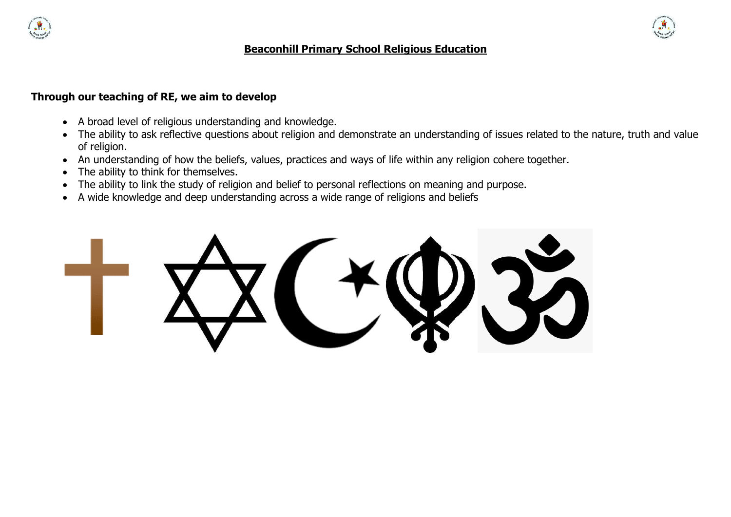

#### **Beaconhill Primary School Religious Education**

#### **Through our teaching of RE, we aim to develop**

- A broad level of religious understanding and knowledge.
- The ability to ask reflective questions about religion and demonstrate an understanding of issues related to the nature, truth and value of religion.
- An understanding of how the beliefs, values, practices and ways of life within any religion cohere together.
- The ability to think for themselves.
- The ability to link the study of religion and belief to personal reflections on meaning and purpose.
- A wide knowledge and deep understanding across a wide range of religions and beliefs

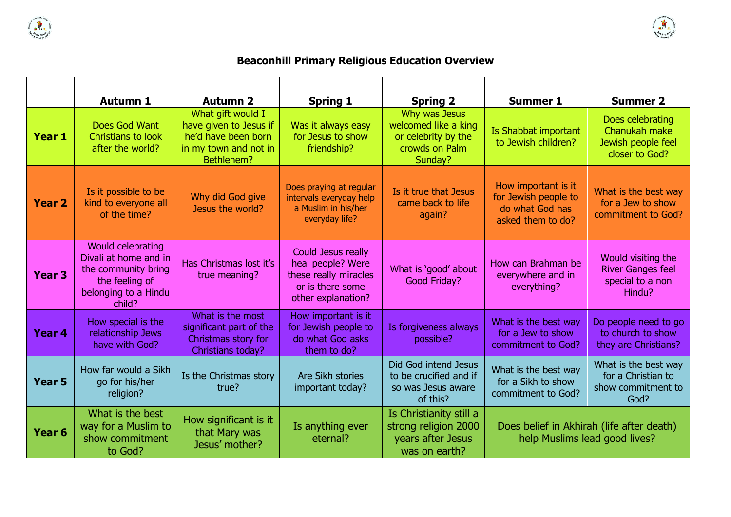



# **Beaconhill Primary Religious Education Overview**

|                   | <b>Autumn 1</b>                                                                                                       | <b>Autumn 2</b>                                                                                           | <b>Spring 1</b>                                                                                            | <b>Spring 2</b>                                                                           | <b>Summer 1</b>                                                                     | <b>Summer 2</b>                                                              |
|-------------------|-----------------------------------------------------------------------------------------------------------------------|-----------------------------------------------------------------------------------------------------------|------------------------------------------------------------------------------------------------------------|-------------------------------------------------------------------------------------------|-------------------------------------------------------------------------------------|------------------------------------------------------------------------------|
| <b>Year 1</b>     | Does God Want<br><b>Christians to look</b><br>after the world?                                                        | What gift would I<br>have given to Jesus if<br>he'd have been born<br>in my town and not in<br>Bethlehem? | Was it always easy<br>for Jesus to show<br>friendship?                                                     | Why was Jesus<br>welcomed like a king<br>or celebrity by the<br>crowds on Palm<br>Sunday? | Is Shabbat important<br>to Jewish children?                                         | Does celebrating<br>Chanukah make<br>Jewish people feel<br>closer to God?    |
| <b>Year 2</b>     | Is it possible to be<br>kind to everyone all<br>of the time?                                                          | Why did God give<br>Jesus the world?                                                                      | Does praying at regular<br>intervals everyday help<br>a Muslim in his/her<br>everyday life?                | Is it true that Jesus<br>came back to life<br>again?                                      | How important is it<br>for Jewish people to<br>do what God has<br>asked them to do? | What is the best way<br>for a Jew to show<br>commitment to God?              |
| Year <sub>3</sub> | Would celebrating<br>Divali at home and in<br>the community bring<br>the feeling of<br>belonging to a Hindu<br>child? | Has Christmas lost it's<br>true meaning?                                                                  | Could Jesus really<br>heal people? Were<br>these really miracles<br>or is there some<br>other explanation? | What is 'good' about<br>Good Friday?                                                      | How can Brahman be<br>everywhere and in<br>everything?                              | Would visiting the<br><b>River Ganges feel</b><br>special to a non<br>Hindu? |
| Year 4            | How special is the<br>relationship Jews<br>have with God?                                                             | What is the most<br>significant part of the<br>Christmas story for<br>Christians today?                   | How important is it<br>for Jewish people to<br>do what God asks<br>them to do?                             | Is forgiveness always<br>possible?                                                        | What is the best way<br>for a Jew to show<br>commitment to God?                     | Do people need to go<br>to church to show<br>they are Christians?            |
| Year <sub>5</sub> | How far would a Sikh<br>go for his/her<br>religion?                                                                   | Is the Christmas story<br>true?                                                                           | Are Sikh stories<br>important today?                                                                       | Did God intend Jesus<br>to be crucified and if<br>so was Jesus aware<br>of this?          | What is the best way<br>for a Sikh to show<br>commitment to God?                    | What is the best way<br>for a Christian to<br>show commitment to<br>God?     |
| Year <sub>6</sub> | What is the best<br>way for a Muslim to<br>show commitment<br>to God?                                                 | How significant is it<br>that Mary was<br>Jesus' mother?                                                  | Is anything ever<br>eternal?                                                                               | Is Christianity still a<br>strong religion 2000<br>years after Jesus<br>was on earth?     | Does belief in Akhirah (life after death)<br>help Muslims lead good lives?          |                                                                              |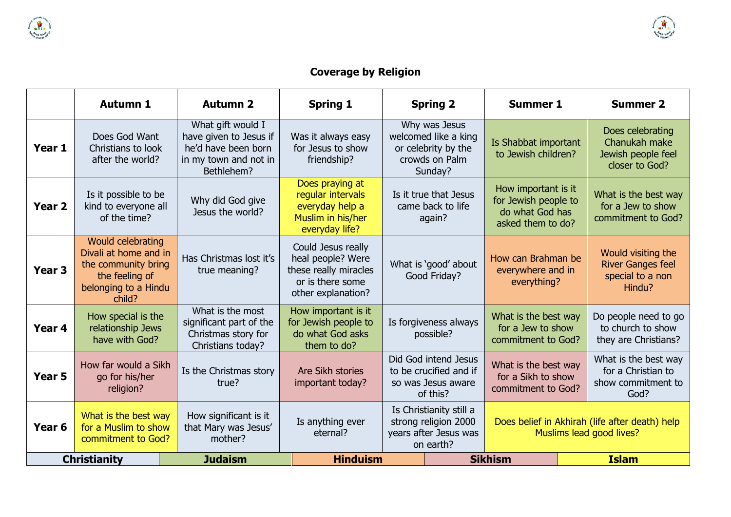

# **Coverage by Religion**

|                   | <b>Autumn 1</b>                                                                                                       | <b>Autumn 2</b>                                                                                           | <b>Spring 1</b>                                                                                            |                                                                                       | <b>Spring 2</b>                                                                           | <b>Summer 1</b>                                                                     |  | <b>Summer 2</b>                                                              |
|-------------------|-----------------------------------------------------------------------------------------------------------------------|-----------------------------------------------------------------------------------------------------------|------------------------------------------------------------------------------------------------------------|---------------------------------------------------------------------------------------|-------------------------------------------------------------------------------------------|-------------------------------------------------------------------------------------|--|------------------------------------------------------------------------------|
| Year 1            | Does God Want<br>Christians to look<br>after the world?                                                               | What gift would I<br>have given to Jesus if<br>he'd have been born<br>in my town and not in<br>Bethlehem? | Was it always easy<br>for Jesus to show<br>friendship?                                                     |                                                                                       | Why was Jesus<br>welcomed like a king<br>or celebrity by the<br>crowds on Palm<br>Sunday? | Is Shabbat important<br>to Jewish children?                                         |  | Does celebrating<br>Chanukah make<br>Jewish people feel<br>closer to God?    |
| Year <sub>2</sub> | Is it possible to be<br>kind to everyone all<br>of the time?                                                          | Why did God give<br>Jesus the world?                                                                      | Does praying at<br>regular intervals<br>everyday help a<br>Muslim in his/her<br>everyday life?             |                                                                                       | Is it true that Jesus<br>came back to life<br>again?                                      | How important is it<br>for Jewish people to<br>do what God has<br>asked them to do? |  | What is the best way<br>for a Jew to show<br>commitment to God?              |
| Year <sub>3</sub> | Would celebrating<br>Divali at home and in<br>the community bring<br>the feeling of<br>belonging to a Hindu<br>child? | Has Christmas lost it's<br>true meaning?                                                                  | Could Jesus really<br>heal people? Were<br>these really miracles<br>or is there some<br>other explanation? |                                                                                       | What is 'good' about<br>Good Friday?                                                      | How can Brahman be<br>everywhere and in<br>everything?                              |  | Would visiting the<br><b>River Ganges feel</b><br>special to a non<br>Hindu? |
| Year 4            | How special is the<br>relationship Jews<br>have with God?                                                             | What is the most<br>significant part of the<br>Christmas story for<br>Christians today?                   | How important is it<br>for Jewish people to<br>do what God asks<br>them to do?                             |                                                                                       | Is forgiveness always<br>possible?                                                        | What is the best way<br>for a Jew to show<br>commitment to God?                     |  | Do people need to go<br>to church to show<br>they are Christians?            |
| Year <sub>5</sub> | How far would a Sikh<br>go for his/her<br>religion?                                                                   | Is the Christmas story<br>true?                                                                           | Are Sikh stories<br>important today?                                                                       |                                                                                       | Did God intend Jesus<br>to be crucified and if<br>so was Jesus aware<br>of this?          | What is the best way<br>for a Sikh to show<br>commitment to God?                    |  | What is the best way<br>for a Christian to<br>show commitment to<br>God?     |
| Year <sub>6</sub> | What is the best way<br>for a Muslim to show<br>commitment to God?                                                    | How significant is it<br>that Mary was Jesus'<br>mother?                                                  | Is anything ever<br>eternal?                                                                               | Is Christianity still a<br>strong religion 2000<br>years after Jesus was<br>on earth? |                                                                                           | Does belief in Akhirah (life after death) help<br>Muslims lead good lives?          |  |                                                                              |
|                   | <b>Christianity</b>                                                                                                   | <b>Judaism</b>                                                                                            | <b>Hinduism</b>                                                                                            |                                                                                       |                                                                                           | <b>Sikhism</b>                                                                      |  | <b>Islam</b>                                                                 |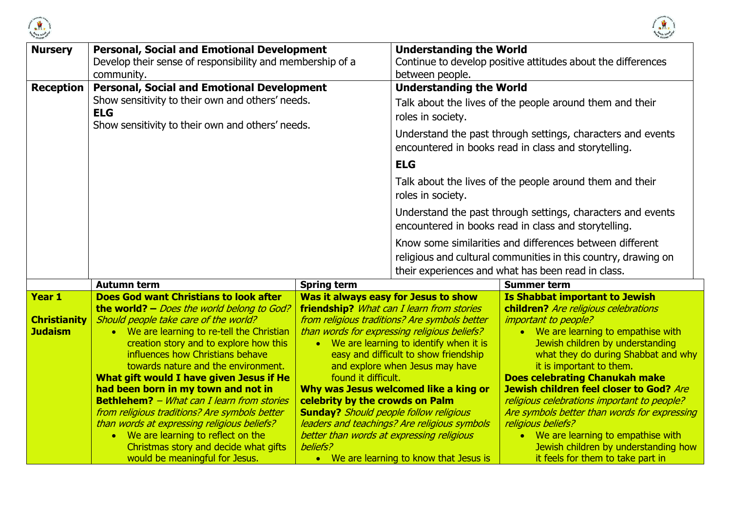



| <b>Nursery</b>      | <b>Personal, Social and Emotional Development</b><br>Develop their sense of responsibility and membership of a<br>community. |                                               | <b>Understanding the World</b><br>Continue to develop positive attitudes about the differences<br>between people.                 |                                                                                                                                                                                  |
|---------------------|------------------------------------------------------------------------------------------------------------------------------|-----------------------------------------------|-----------------------------------------------------------------------------------------------------------------------------------|----------------------------------------------------------------------------------------------------------------------------------------------------------------------------------|
| <b>Reception</b>    | <b>Personal, Social and Emotional Development</b><br>Show sensitivity to their own and others' needs.<br><b>ELG</b>          |                                               | <b>Understanding the World</b><br>roles in society.                                                                               | Talk about the lives of the people around them and their                                                                                                                         |
|                     | Show sensitivity to their own and others' needs.                                                                             |                                               | Understand the past through settings, characters and events<br>encountered in books read in class and storytelling.<br><b>ELG</b> |                                                                                                                                                                                  |
|                     |                                                                                                                              |                                               | roles in society.                                                                                                                 | Talk about the lives of the people around them and their                                                                                                                         |
|                     |                                                                                                                              |                                               |                                                                                                                                   | Understand the past through settings, characters and events<br>encountered in books read in class and storytelling.                                                              |
|                     |                                                                                                                              |                                               |                                                                                                                                   | Know some similarities and differences between different<br>religious and cultural communities in this country, drawing on<br>their experiences and what has been read in class. |
|                     | <b>Autumn term</b>                                                                                                           | <b>Spring term</b>                            |                                                                                                                                   | <b>Summer term</b>                                                                                                                                                               |
| Year 1              | <b>Does God want Christians to look after</b>                                                                                |                                               | Was it always easy for Jesus to show                                                                                              | <b>Is Shabbat important to Jewish</b>                                                                                                                                            |
| <b>Christianity</b> | the world? - Does the world belong to God?<br>Should people take care of the world?                                          |                                               | friendship? What can I learn from stories<br>from religious traditions? Are symbols better                                        | children? Are religious celebrations<br><i>important to people?</i>                                                                                                              |
| <b>Judaism</b>      | • We are learning to re-tell the Christian                                                                                   |                                               | than words for expressing religious beliefs?                                                                                      | • We are learning to empathise with                                                                                                                                              |
|                     | creation story and to explore how this<br>influences how Christians behave                                                   |                                               | • We are learning to identify when it is<br>easy and difficult to show friendship                                                 | Jewish children by understanding<br>what they do during Shabbat and why                                                                                                          |
|                     | towards nature and the environment.                                                                                          |                                               | and explore when Jesus may have                                                                                                   | it is important to them.                                                                                                                                                         |
|                     | What gift would I have given Jesus if He                                                                                     | found it difficult.                           |                                                                                                                                   | <b>Does celebrating Chanukah make</b>                                                                                                                                            |
|                     | had been born in my town and not in<br><b>Bethlehem?</b> - What can I learn from stories                                     | celebrity by the crowds on Palm               | Why was Jesus welcomed like a king or                                                                                             | Jewish children feel closer to God? Are<br>religious celebrations important to people?                                                                                           |
|                     | from religious traditions? Are symbols better                                                                                | <b>Sunday?</b> Should people follow religious |                                                                                                                                   | Are symbols better than words for expressing                                                                                                                                     |
|                     | than words at expressing religious beliefs?                                                                                  |                                               | leaders and teachings? Are religious symbols                                                                                      | religious beliefs?                                                                                                                                                               |
|                     | • We are learning to reflect on the                                                                                          | better than words at expressing religious     |                                                                                                                                   | • We are learning to empathise with                                                                                                                                              |
|                     | Christmas story and decide what gifts                                                                                        | beliefs?                                      |                                                                                                                                   | Jewish children by understanding how                                                                                                                                             |
|                     | would be meaningful for Jesus.                                                                                               |                                               | • We are learning to know that Jesus is                                                                                           | it feels for them to take part in                                                                                                                                                |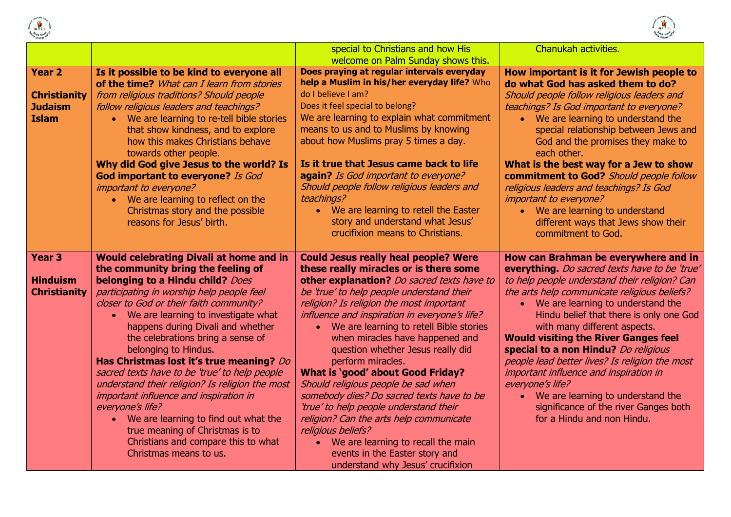



|                                       |                                                                                       | special to Christians and how His                                                         | Chanukah activities.                                                            |
|---------------------------------------|---------------------------------------------------------------------------------------|-------------------------------------------------------------------------------------------|---------------------------------------------------------------------------------|
|                                       |                                                                                       | welcome on Palm Sunday shows this.                                                        |                                                                                 |
| Year <sub>2</sub>                     | Is it possible to be kind to everyone all                                             | Does praying at regular intervals everyday<br>help a Muslim in his/her everyday life? Who | How important is it for Jewish people to                                        |
|                                       | of the time? What can I learn from stories                                            | do I believe I am?                                                                        | do what God has asked them to do?                                               |
| <b>Christianity</b><br><b>Judaism</b> | from religious traditions? Should people                                              | Does it feel special to belong?                                                           | Should people follow religious leaders and                                      |
| <b>Islam</b>                          | follow religious leaders and teachings?<br>• We are learning to re-tell bible stories | We are learning to explain what commitment                                                | teachings? Is God important to everyone?<br>• We are learning to understand the |
|                                       | that show kindness, and to explore                                                    | means to us and to Muslims by knowing                                                     | special relationship between Jews and                                           |
|                                       | how this makes Christians behave                                                      | about how Muslims pray 5 times a day.                                                     | God and the promises they make to                                               |
|                                       | towards other people.                                                                 |                                                                                           | each other.                                                                     |
|                                       | Why did God give Jesus to the world? Is                                               | Is it true that Jesus came back to life                                                   | What is the best way for a Jew to show                                          |
|                                       | God important to everyone? Is God                                                     | again? Is God important to everyone?                                                      | commitment to God? Should people follow                                         |
|                                       | important to everyone?                                                                | Should people follow religious leaders and                                                | religious leaders and teachings? Is God                                         |
|                                       | • We are learning to reflect on the                                                   | teachings?                                                                                | important to everyone?                                                          |
|                                       | Christmas story and the possible                                                      | • We are learning to retell the Easter                                                    | • We are learning to understand                                                 |
|                                       | reasons for Jesus' birth.                                                             | story and understand what Jesus'                                                          | different ways that Jews show their                                             |
|                                       |                                                                                       | crucifixion means to Christians.                                                          | commitment to God.                                                              |
|                                       |                                                                                       |                                                                                           |                                                                                 |
| Year <sub>3</sub>                     | <b>Would celebrating Divali at home and in</b>                                        | <b>Could Jesus really heal people? Were</b>                                               | How can Brahman be everywhere and in                                            |
|                                       | the community bring the feeling of                                                    | these really miracles or is there some                                                    | everything. Do sacred texts have to be 'true'                                   |
| <b>Hinduism</b>                       | belonging to a Hindu child? Does                                                      | other explanation? Do sacred texts have to                                                | to help people understand their religion? Can                                   |
| <b>Christianity</b>                   | participating in worship help people feel                                             | be 'true' to help people understand their                                                 | the arts help communicate religious beliefs?                                    |
|                                       | closer to God or their faith community?                                               | religion? Is religion the most important                                                  | • We are learning to understand the                                             |
|                                       | We are learning to investigate what<br>$\bullet$                                      | influence and inspiration in everyone's life?                                             | Hindu belief that there is only one God                                         |
|                                       | happens during Divali and whether                                                     | • We are learning to retell Bible stories                                                 | with many different aspects.<br><b>Would visiting the River Ganges feel</b>     |
|                                       | the celebrations bring a sense of<br>belonging to Hindus.                             | when miracles have happened and<br>question whether Jesus really did                      | special to a non Hindu? Do religious                                            |
|                                       | Has Christmas lost it's true meaning? Do                                              | perform miracles.                                                                         | people lead better lives? Is religion the most                                  |
|                                       | sacred texts have to be 'true' to help people                                         | <b>What is 'good' about Good Friday?</b>                                                  | important influence and inspiration in                                          |
|                                       | understand their religion? Is religion the most                                       | Should religious people be sad when                                                       | everyone's life?                                                                |
|                                       | important influence and inspiration in                                                | somebody dies? Do sacred texts have to be                                                 | • We are learning to understand the                                             |
|                                       | everyone's life?                                                                      | 'true' to help people understand their                                                    | significance of the river Ganges both                                           |
|                                       | • We are learning to find out what the                                                | religion? Can the arts help communicate                                                   | for a Hindu and non Hindu.                                                      |
|                                       | true meaning of Christmas is to                                                       | religious beliefs?                                                                        |                                                                                 |
|                                       | Christians and compare this to what                                                   | • We are learning to recall the main                                                      |                                                                                 |
|                                       | Christmas means to us.                                                                | events in the Easter story and                                                            |                                                                                 |
|                                       |                                                                                       | understand why Jesus' crucifixion                                                         |                                                                                 |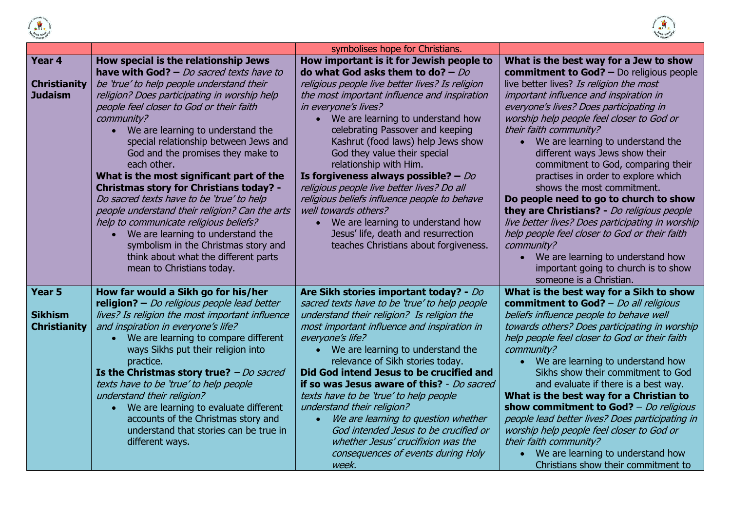



|                                                 |                                                                                                                                                                                                                                                                                                                                                                                                                                                                                                                                                                                                                                                                                               | symbolises hope for Christians.                                                                                                                                                                                                                                                                                                                                                                                                                                                                                                                                                                                                         |                                                                                                                                                                                                                                                                                                                                                                                                                                                                                                                                                                                                                                                                                                                       |
|-------------------------------------------------|-----------------------------------------------------------------------------------------------------------------------------------------------------------------------------------------------------------------------------------------------------------------------------------------------------------------------------------------------------------------------------------------------------------------------------------------------------------------------------------------------------------------------------------------------------------------------------------------------------------------------------------------------------------------------------------------------|-----------------------------------------------------------------------------------------------------------------------------------------------------------------------------------------------------------------------------------------------------------------------------------------------------------------------------------------------------------------------------------------------------------------------------------------------------------------------------------------------------------------------------------------------------------------------------------------------------------------------------------------|-----------------------------------------------------------------------------------------------------------------------------------------------------------------------------------------------------------------------------------------------------------------------------------------------------------------------------------------------------------------------------------------------------------------------------------------------------------------------------------------------------------------------------------------------------------------------------------------------------------------------------------------------------------------------------------------------------------------------|
| Year 4                                          | How special is the relationship Jews<br>have with God? $-$ Do sacred texts have to                                                                                                                                                                                                                                                                                                                                                                                                                                                                                                                                                                                                            | How important is it for Jewish people to<br>do what God asks them to do? $-$ Do                                                                                                                                                                                                                                                                                                                                                                                                                                                                                                                                                         | What is the best way for a Jew to show<br><b>commitment to God? - Do religious people</b>                                                                                                                                                                                                                                                                                                                                                                                                                                                                                                                                                                                                                             |
| <b>Christianity</b><br><b>Judaism</b>           | be 'true' to help people understand their<br>religion? Does participating in worship help<br>people feel closer to God or their faith<br>community?<br>• We are learning to understand the<br>special relationship between Jews and<br>God and the promises they make to<br>each other.<br>What is the most significant part of the<br><b>Christmas story for Christians today? -</b><br>Do sacred texts have to be 'true' to help<br>people understand their religion? Can the arts<br>help to communicate religious beliefs?<br>We are learning to understand the<br>$\bullet$<br>symbolism in the Christmas story and<br>think about what the different parts<br>mean to Christians today. | religious people live better lives? Is religion<br>the most important influence and inspiration<br>in everyone's lives?<br>We are learning to understand how<br>$\bullet$<br>celebrating Passover and keeping<br>Kashrut (food laws) help Jews show<br>God they value their special<br>relationship with Him.<br>Is forgiveness always possible? $-$ Do<br>religious people live better lives? Do all<br>religious beliefs influence people to behave<br>well towards others?<br>We are learning to understand how<br>$\bullet$<br>Jesus' life, death and resurrection<br>teaches Christians about forgiveness.                         | live better lives? Is religion the most<br>important influence and inspiration in<br>everyone's lives? Does participating in<br>worship help people feel closer to God or<br>their faith community?<br>We are learning to understand the<br>different ways Jews show their<br>commitment to God, comparing their<br>practises in order to explore which<br>shows the most commitment.<br>Do people need to go to church to show<br>they are Christians? - Do religious people<br>live better lives? Does participating in worship<br>help people feel closer to God or their faith<br>community?<br>We are learning to understand how<br>$\bullet$<br>important going to church is to show<br>someone is a Christian. |
| Year 5<br><b>Sikhism</b><br><b>Christianity</b> | How far would a Sikh go for his/her<br>religion? - Do religious people lead better<br>lives? Is religion the most important influence<br>and inspiration in everyone's life?<br>• We are learning to compare different<br>ways Sikhs put their religion into<br>practice.<br>Is the Christmas story true? $-Do$ sacred<br>texts have to be 'true' to help people<br>understand their religion?<br>• We are learning to evaluate different<br>accounts of the Christmas story and<br>understand that stories can be true in<br>different ways.                                                                                                                                                 | Are Sikh stories important today? - Do<br>sacred texts have to be 'true' to help people<br>understand their religion? Is religion the<br>most important influence and inspiration in<br>everyone's life?<br>• We are learning to understand the<br>relevance of Sikh stories today.<br>Did God intend Jesus to be crucified and<br>if so was Jesus aware of this? - Do sacred<br>texts have to be 'true' to help people<br>understand their religion?<br>We are learning to question whether<br>$\bullet$<br>God intended Jesus to be crucified or<br>whether Jesus' crucifixion was the<br>consequences of events during Holy<br>week. | What is the best way for a Sikh to show<br>commitment to God? - Do all religious<br>beliefs influence people to behave well<br>towards others? Does participating in worship<br>help people feel closer to God or their faith<br>community?<br>We are learning to understand how<br>$\bullet$<br>Sikhs show their commitment to God<br>and evaluate if there is a best way.<br>What is the best way for a Christian to<br>show commitment to God? $-Do$ religious<br>people lead better lives? Does participating in<br>worship help people feel closer to God or<br>their faith community?<br>We are learning to understand how<br>Christians show their commitment to                                               |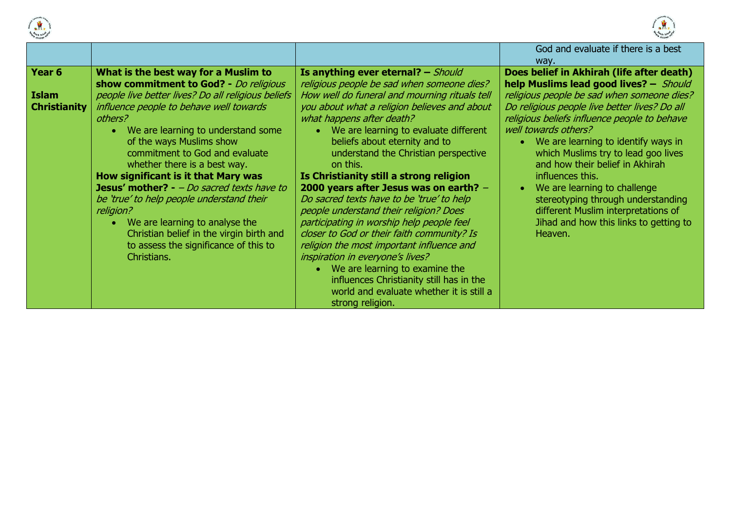



|                                               |                                                                                                                                                                                                                                                                                                                                                                                                                                                                                                                                                                                                                                                       |                                                                                                                                                                                                                                                                                                                                                                                                                                                                                                                                                                                                                                                                                                                                                                                                                                                        | God and evaluate if there is a best<br>way.                                                                                                                                                                                                                                                                                                                                                                                                                                                                                                                       |
|-----------------------------------------------|-------------------------------------------------------------------------------------------------------------------------------------------------------------------------------------------------------------------------------------------------------------------------------------------------------------------------------------------------------------------------------------------------------------------------------------------------------------------------------------------------------------------------------------------------------------------------------------------------------------------------------------------------------|--------------------------------------------------------------------------------------------------------------------------------------------------------------------------------------------------------------------------------------------------------------------------------------------------------------------------------------------------------------------------------------------------------------------------------------------------------------------------------------------------------------------------------------------------------------------------------------------------------------------------------------------------------------------------------------------------------------------------------------------------------------------------------------------------------------------------------------------------------|-------------------------------------------------------------------------------------------------------------------------------------------------------------------------------------------------------------------------------------------------------------------------------------------------------------------------------------------------------------------------------------------------------------------------------------------------------------------------------------------------------------------------------------------------------------------|
| Year 6<br><b>Islam</b><br><b>Christianity</b> | What is the best way for a Muslim to<br>show commitment to God? - Do religious<br>people live better lives? Do all religious beliefs<br>influence people to behave well towards<br>others?<br>We are learning to understand some<br>$\bullet$<br>of the ways Muslims show<br>commitment to God and evaluate<br>whether there is a best way.<br>How significant is it that Mary was<br><b>Jesus' mother?</b> - $-Do$ sacred texts have to<br>be 'true' to help people understand their<br>religion?<br>We are learning to analyse the<br>$\bullet$<br>Christian belief in the virgin birth and<br>to assess the significance of this to<br>Christians. | Is anything ever eternal? $-$ Should<br>religious people be sad when someone dies?<br>How well do funeral and mourning rituals tell<br>you about what a religion believes and about<br>what happens after death?<br>• We are learning to evaluate different<br>beliefs about eternity and to<br>understand the Christian perspective<br>on this.<br>Is Christianity still a strong religion<br>2000 years after Jesus was on earth? -<br>Do sacred texts have to be 'true' to help<br>people understand their religion? Does<br>participating in worship help people feel<br>closer to God or their faith community? Is<br>religion the most important influence and<br>inspiration in everyone's lives?<br>We are learning to examine the<br>influences Christianity still has in the<br>world and evaluate whether it is still a<br>strong religion. | Does belief in Akhirah (life after death)<br>help Muslims lead good lives? - Should<br>religious people be sad when someone dies?<br>Do religious people live better lives? Do all<br>religious beliefs influence people to behave<br>well towards others?<br>We are learning to identify ways in<br>which Muslims try to lead goo lives<br>and how their belief in Akhirah<br>influences this.<br>We are learning to challenge<br>stereotyping through understanding<br>different Muslim interpretations of<br>Jihad and how this links to getting to<br>Heaven. |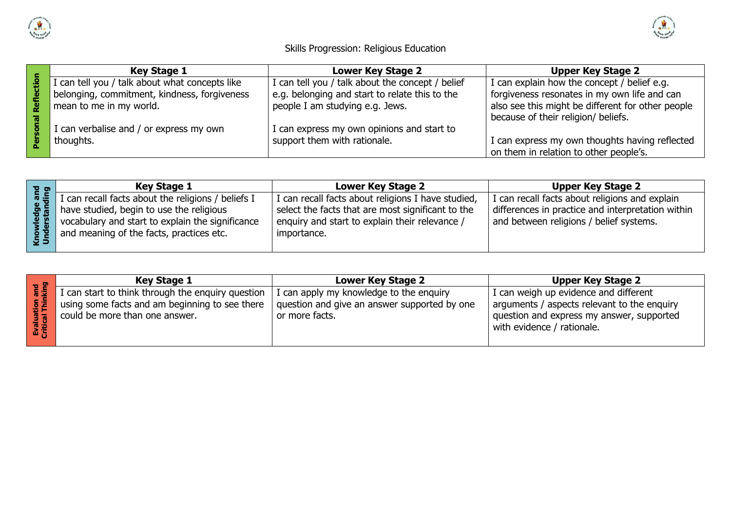



### Skills Progression: Religious Education

|   | <b>Key Stage 1</b>                             | <b>Lower Key Stage 2</b>                         | <b>Upper Key Stage 2</b>                          |  |
|---|------------------------------------------------|--------------------------------------------------|---------------------------------------------------|--|
|   | I can tell you / talk about what concepts like | I can tell you / talk about the concept / belief | I can explain how the concept / belief e.g.       |  |
|   | belonging, commitment, kindness, forgiveness   | e.g. belonging and start to relate this to the   | forgiveness resonates in my own life and can      |  |
| Ñ | mean to me in my world.                        | people I am studying e.g. Jews.                  | also see this might be different for other people |  |
|   |                                                |                                                  | because of their religion/ beliefs.               |  |
|   | I can verbalise and / or express my own        | I can express my own opinions and start to       |                                                   |  |
|   | thoughts.                                      | support them with rationale.                     | I can express my own thoughts having reflected    |  |
|   |                                                |                                                  | on them in relation to other people's.            |  |

|            | <b>Key Stage 1</b>                                                                                                                                                                             | <b>Lower Key Stage 2</b>                                                                                                                                                   | <b>Upper Key Stage 2</b>                                                                                                                       |
|------------|------------------------------------------------------------------------------------------------------------------------------------------------------------------------------------------------|----------------------------------------------------------------------------------------------------------------------------------------------------------------------------|------------------------------------------------------------------------------------------------------------------------------------------------|
| nes<br>San | I can recall facts about the religions / beliefs I<br>have studied, begin to use the religious<br>vocabulary and start to explain the significance<br>and meaning of the facts, practices etc. | I can recall facts about religions I have studied,<br>select the facts that are most significant to the<br>' enquiry and start to explain their relevance /<br>importance. | I can recall facts about religions and explain<br>differences in practice and interpretation within<br>and between religions / belief systems. |

|                   | <b>Key Stage 1</b>                                                                                                                    | <b>Lower Key Stage 2</b>                                                                                  | <b>Upper Key Stage 2</b>                                                                                                                                        |
|-------------------|---------------------------------------------------------------------------------------------------------------------------------------|-----------------------------------------------------------------------------------------------------------|-----------------------------------------------------------------------------------------------------------------------------------------------------------------|
| and<br>king<br>孟宾 | I can start to think through the enquiry question<br>using some facts and am beginning to see there<br>could be more than one answer. | I can apply my knowledge to the enquiry<br>question and give an answer supported by one<br>or more facts. | I can weigh up evidence and different<br>arguments / aspects relevant to the enquiry<br>question and express my answer, supported<br>with evidence / rationale. |
|                   |                                                                                                                                       |                                                                                                           |                                                                                                                                                                 |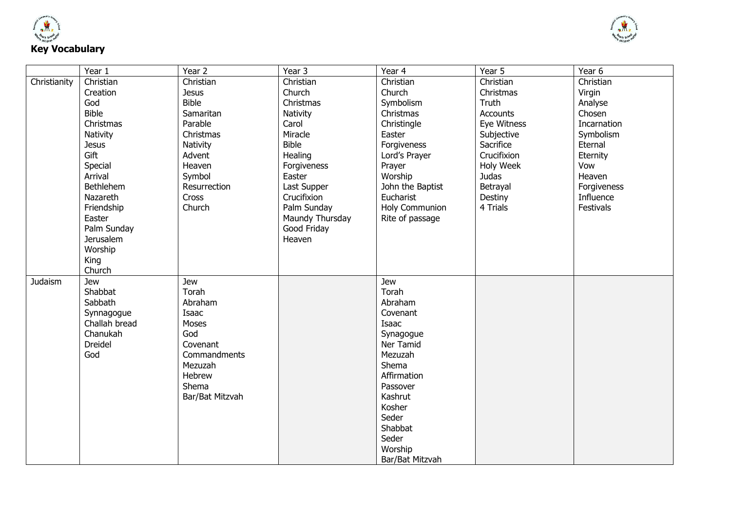



|              | Year 1           | Year 2          | Year 3          | Year 4           | Year 5          | Year 6      |
|--------------|------------------|-----------------|-----------------|------------------|-----------------|-------------|
| Christianity | Christian        | Christian       | Christian       | Christian        | Christian       | Christian   |
|              | Creation         | <b>Jesus</b>    | Church          | Church           | Christmas       | Virgin      |
|              | God              | <b>Bible</b>    | Christmas       | Symbolism        | Truth           | Analyse     |
|              | <b>Bible</b>     | Samaritan       | Nativity        | Christmas        | <b>Accounts</b> | Chosen      |
|              | Christmas        | Parable         | Carol           | Christingle      | Eye Witness     | Incarnation |
|              | Nativity         | Christmas       | Miracle         | Easter           | Subjective      | Symbolism   |
|              | <b>Jesus</b>     | Nativity        | <b>Bible</b>    | Forgiveness      | Sacrifice       | Eternal     |
|              | Gift             | Advent          | Healing         | Lord's Prayer    | Crucifixion     | Eternity    |
|              | Special          | Heaven          | Forgiveness     | Prayer           | Holy Week       | Vow         |
|              | Arrival          | Symbol          | Easter          | Worship          | <b>Judas</b>    | Heaven      |
|              | <b>Bethlehem</b> | Resurrection    | Last Supper     | John the Baptist | Betrayal        | Forgiveness |
|              | Nazareth         | <b>Cross</b>    | Crucifixion     | Eucharist        | Destiny         | Influence   |
|              | Friendship       | Church          | Palm Sunday     | Holy Communion   | 4 Trials        | Festivals   |
|              | Easter           |                 | Maundy Thursday | Rite of passage  |                 |             |
|              | Palm Sunday      |                 | Good Friday     |                  |                 |             |
|              | <b>Jerusalem</b> |                 | Heaven          |                  |                 |             |
|              | Worship          |                 |                 |                  |                 |             |
|              | King             |                 |                 |                  |                 |             |
|              | Church           |                 |                 |                  |                 |             |
| Judaism      | <b>Jew</b>       | Jew             |                 | Jew              |                 |             |
|              | Shabbat          | Torah           |                 | Torah            |                 |             |
|              | Sabbath          | Abraham         |                 | Abraham          |                 |             |
|              | Synnagogue       | Isaac           |                 | Covenant         |                 |             |
|              | Challah bread    | Moses           |                 | Isaac            |                 |             |
|              | Chanukah         | God             |                 | Synagogue        |                 |             |
|              | Dreidel          | Covenant        |                 | Ner Tamid        |                 |             |
|              | God              | Commandments    |                 | Mezuzah          |                 |             |
|              |                  | Mezuzah         |                 | Shema            |                 |             |
|              |                  | Hebrew          |                 | Affirmation      |                 |             |
|              |                  | Shema           |                 | Passover         |                 |             |
|              |                  | Bar/Bat Mitzvah |                 | Kashrut          |                 |             |
|              |                  |                 |                 | Kosher           |                 |             |
|              |                  |                 |                 | Seder            |                 |             |
|              |                  |                 |                 | Shabbat          |                 |             |
|              |                  |                 |                 | Seder            |                 |             |
|              |                  |                 |                 | Worship          |                 |             |
|              |                  |                 |                 | Bar/Bat Mitzvah  |                 |             |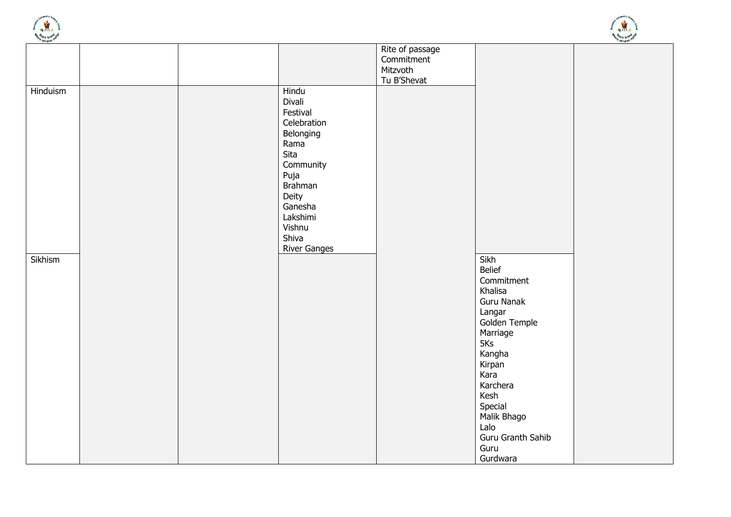



| essitate.           |  |                                                                                                                                                                                          | Rite of passage<br>Commitment<br>Mitzvoth<br>Tu B'Shevat |                                                                                                                         |  |
|---------------------|--|------------------------------------------------------------------------------------------------------------------------------------------------------------------------------------------|----------------------------------------------------------|-------------------------------------------------------------------------------------------------------------------------|--|
| Hinduism<br>Sikhism |  | Hindu<br>Divali<br>Festival<br>Celebration<br>Belonging<br>Rama<br>Sita<br>Community<br>Puja<br><b>Brahman</b><br>Deity<br>Ganesha<br>Lakshimi<br>Vishnu<br>Shiva<br><b>River Ganges</b> |                                                          | Sikh<br>Belief<br>Commitment<br>Khalisa<br>Guru Nanak<br>Langar<br>Golden Temple<br>Marriage<br>5Ks                     |  |
|                     |  |                                                                                                                                                                                          |                                                          | Kangha<br>Kirpan<br>Kara<br>Karchera<br>Kesh<br>Special<br>Malik Bhago<br>Lalo<br>Guru Granth Sahib<br>Guru<br>Gurdwara |  |